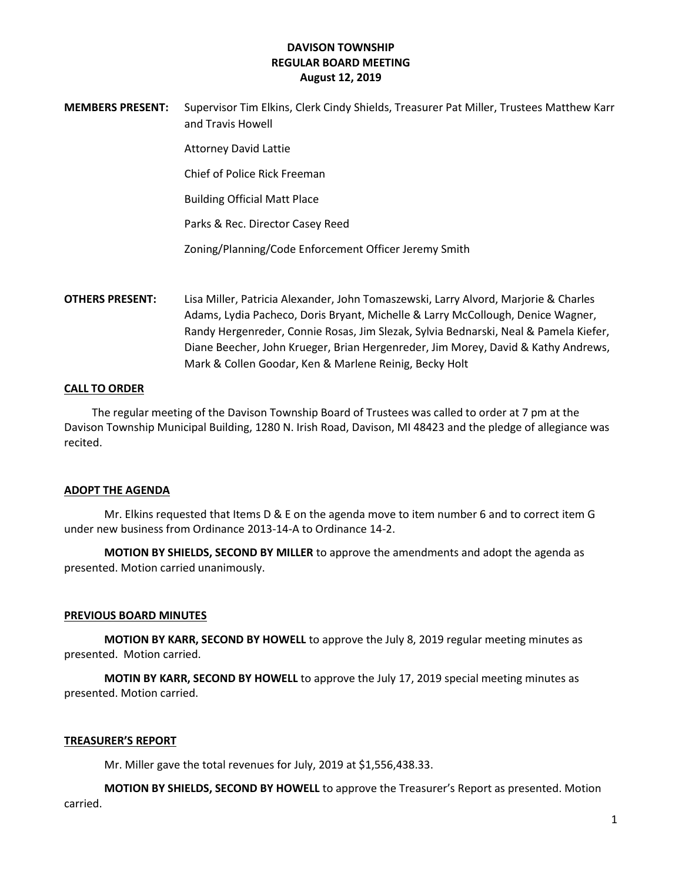**MEMBERS PRESENT:** Supervisor Tim Elkins, Clerk Cindy Shields, Treasurer Pat Miller, Trustees Matthew Karr and Travis Howell

Attorney David Lattie

Chief of Police Rick Freeman

Building Official Matt Place

Parks & Rec. Director Casey Reed

Zoning/Planning/Code Enforcement Officer Jeremy Smith

**OTHERS PRESENT:** Lisa Miller, Patricia Alexander, John Tomaszewski, Larry Alvord, Marjorie & Charles Adams, Lydia Pacheco, Doris Bryant, Michelle & Larry McCollough, Denice Wagner, Randy Hergenreder, Connie Rosas, Jim Slezak, Sylvia Bednarski, Neal & Pamela Kiefer, Diane Beecher, John Krueger, Brian Hergenreder, Jim Morey, David & Kathy Andrews, Mark & Collen Goodar, Ken & Marlene Reinig, Becky Holt

#### **CALL TO ORDER**

 The regular meeting of the Davison Township Board of Trustees was called to order at 7 pm at the Davison Township Municipal Building, 1280 N. Irish Road, Davison, MI 48423 and the pledge of allegiance was recited.

#### **ADOPT THE AGENDA**

Mr. Elkins requested that Items D & E on the agenda move to item number 6 and to correct item G under new business from Ordinance 2013-14-A to Ordinance 14-2.

**MOTION BY SHIELDS, SECOND BY MILLER** to approve the amendments and adopt the agenda as presented. Motion carried unanimously.

#### **PREVIOUS BOARD MINUTES**

**MOTION BY KARR, SECOND BY HOWELL** to approve the July 8, 2019 regular meeting minutes as presented. Motion carried.

**MOTIN BY KARR, SECOND BY HOWELL** to approve the July 17, 2019 special meeting minutes as presented. Motion carried.

### **TREASURER'S REPORT**

Mr. Miller gave the total revenues for July, 2019 at \$1,556,438.33.

**MOTION BY SHIELDS, SECOND BY HOWELL** to approve the Treasurer's Report as presented. Motion carried.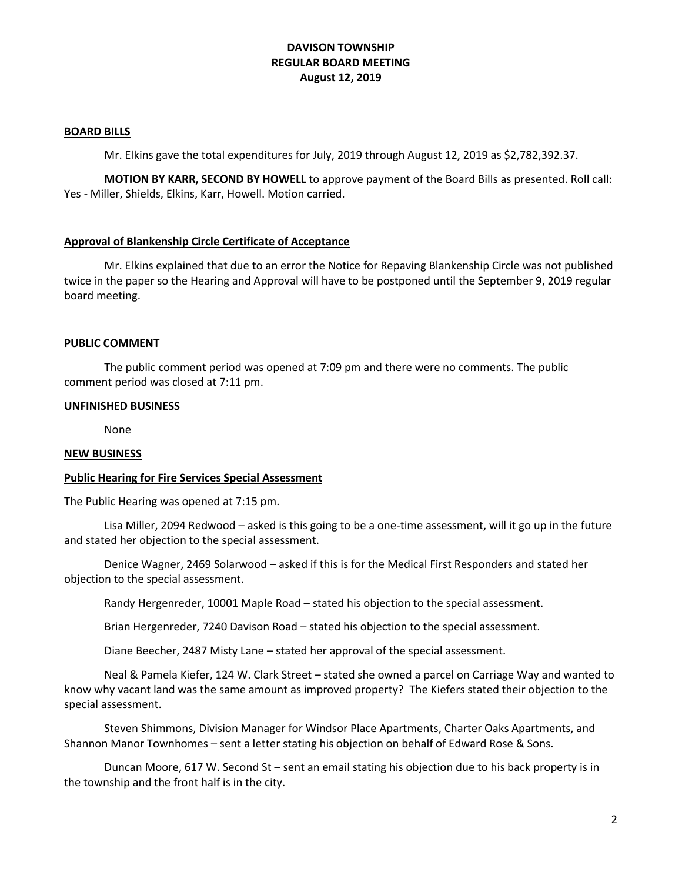#### **BOARD BILLS**

Mr. Elkins gave the total expenditures for July, 2019 through August 12, 2019 as \$2,782,392.37.

**MOTION BY KARR, SECOND BY HOWELL** to approve payment of the Board Bills as presented. Roll call: Yes - Miller, Shields, Elkins, Karr, Howell. Motion carried.

# **Approval of Blankenship Circle Certificate of Acceptance**

Mr. Elkins explained that due to an error the Notice for Repaving Blankenship Circle was not published twice in the paper so the Hearing and Approval will have to be postponed until the September 9, 2019 regular board meeting.

## **PUBLIC COMMENT**

The public comment period was opened at 7:09 pm and there were no comments. The public comment period was closed at 7:11 pm.

#### **UNFINISHED BUSINESS**

None

#### **NEW BUSINESS**

## **Public Hearing for Fire Services Special Assessment**

The Public Hearing was opened at 7:15 pm.

Lisa Miller, 2094 Redwood – asked is this going to be a one-time assessment, will it go up in the future and stated her objection to the special assessment.

Denice Wagner, 2469 Solarwood – asked if this is for the Medical First Responders and stated her objection to the special assessment.

Randy Hergenreder, 10001 Maple Road – stated his objection to the special assessment.

Brian Hergenreder, 7240 Davison Road – stated his objection to the special assessment.

Diane Beecher, 2487 Misty Lane – stated her approval of the special assessment.

Neal & Pamela Kiefer, 124 W. Clark Street – stated she owned a parcel on Carriage Way and wanted to know why vacant land was the same amount as improved property? The Kiefers stated their objection to the special assessment.

Steven Shimmons, Division Manager for Windsor Place Apartments, Charter Oaks Apartments, and Shannon Manor Townhomes – sent a letter stating his objection on behalf of Edward Rose & Sons.

Duncan Moore, 617 W. Second St – sent an email stating his objection due to his back property is in the township and the front half is in the city.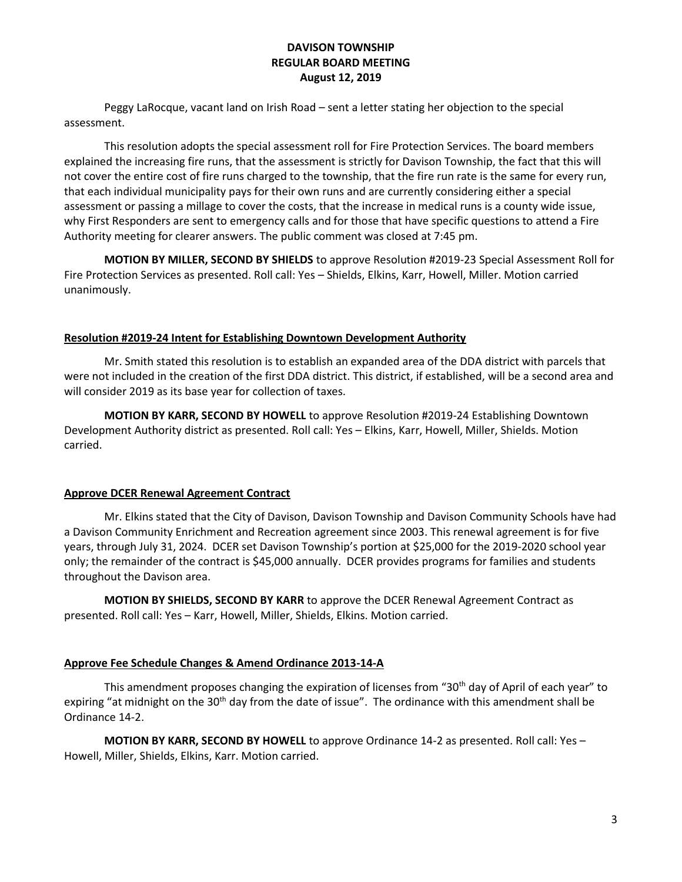Peggy LaRocque, vacant land on Irish Road – sent a letter stating her objection to the special assessment.

This resolution adopts the special assessment roll for Fire Protection Services. The board members explained the increasing fire runs, that the assessment is strictly for Davison Township, the fact that this will not cover the entire cost of fire runs charged to the township, that the fire run rate is the same for every run, that each individual municipality pays for their own runs and are currently considering either a special assessment or passing a millage to cover the costs, that the increase in medical runs is a county wide issue, why First Responders are sent to emergency calls and for those that have specific questions to attend a Fire Authority meeting for clearer answers. The public comment was closed at 7:45 pm.

**MOTION BY MILLER, SECOND BY SHIELDS** to approve Resolution #2019-23 Special Assessment Roll for Fire Protection Services as presented. Roll call: Yes – Shields, Elkins, Karr, Howell, Miller. Motion carried unanimously.

## **Resolution #2019-24 Intent for Establishing Downtown Development Authority**

Mr. Smith stated this resolution is to establish an expanded area of the DDA district with parcels that were not included in the creation of the first DDA district. This district, if established, will be a second area and will consider 2019 as its base year for collection of taxes.

**MOTION BY KARR, SECOND BY HOWELL** to approve Resolution #2019-24 Establishing Downtown Development Authority district as presented. Roll call: Yes – Elkins, Karr, Howell, Miller, Shields. Motion carried.

## **Approve DCER Renewal Agreement Contract**

Mr. Elkins stated that the City of Davison, Davison Township and Davison Community Schools have had a Davison Community Enrichment and Recreation agreement since 2003. This renewal agreement is for five years, through July 31, 2024. DCER set Davison Township's portion at \$25,000 for the 2019-2020 school year only; the remainder of the contract is \$45,000 annually. DCER provides programs for families and students throughout the Davison area.

**MOTION BY SHIELDS, SECOND BY KARR** to approve the DCER Renewal Agreement Contract as presented. Roll call: Yes – Karr, Howell, Miller, Shields, Elkins. Motion carried.

## **Approve Fee Schedule Changes & Amend Ordinance 2013-14-A**

This amendment proposes changing the expiration of licenses from "30<sup>th</sup> day of April of each year" to expiring "at midnight on the 30<sup>th</sup> day from the date of issue". The ordinance with this amendment shall be Ordinance 14-2.

**MOTION BY KARR, SECOND BY HOWELL** to approve Ordinance 14-2 as presented. Roll call: Yes – Howell, Miller, Shields, Elkins, Karr. Motion carried.